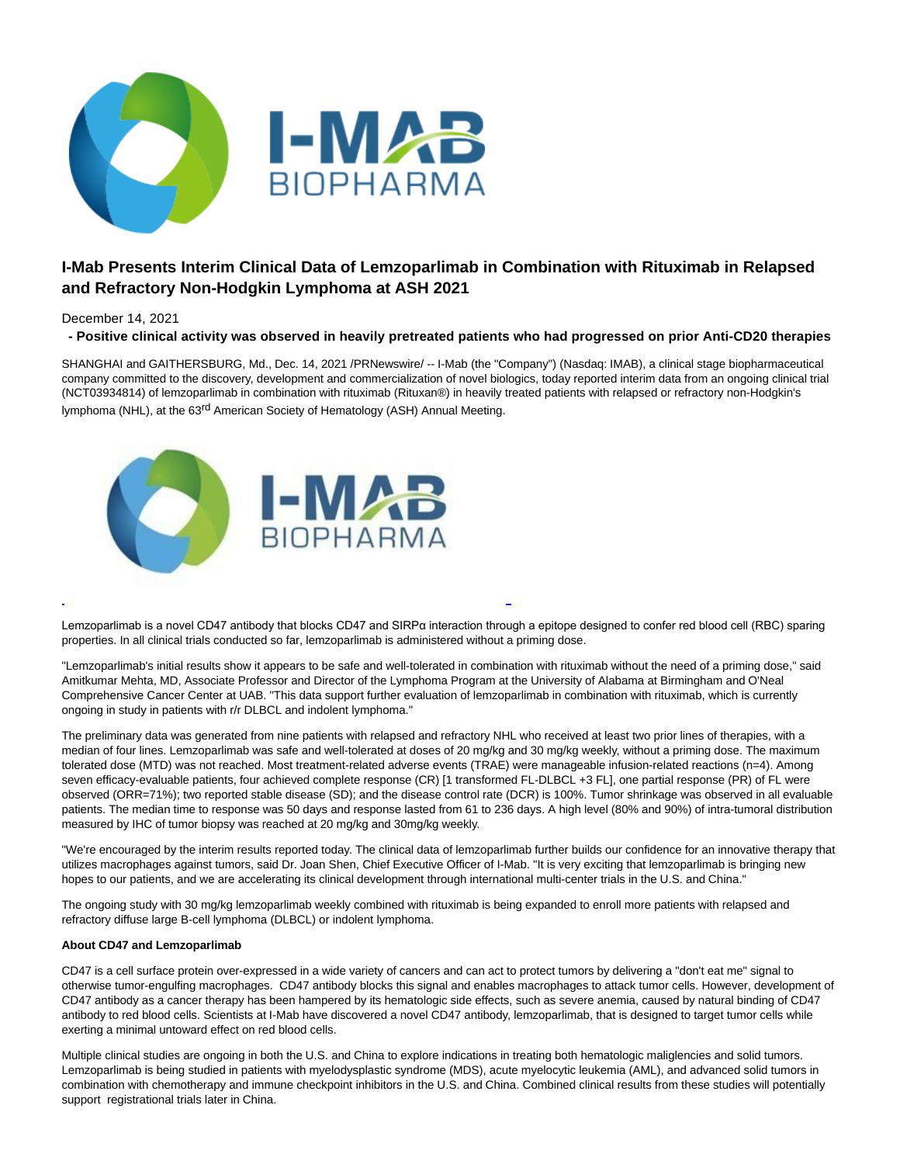

# **I-Mab Presents Interim Clinical Data of Lemzoparlimab in Combination with Rituximab in Relapsed and Refractory Non-Hodgkin Lymphoma at ASH 2021**

# December 14, 2021

**- Positive clinical activity was observed in heavily pretreated patients who had progressed on prior Anti-CD20 therapies**

SHANGHAI and GAITHERSBURG, Md., Dec. 14, 2021 /PRNewswire/ -- I-Mab (the "Company") (Nasdaq: IMAB), a clinical stage biopharmaceutical company committed to the discovery, development and commercialization of novel biologics, today reported interim data from an ongoing clinical trial (NCT03934814) of lemzoparlimab in combination with rituximab (Rituxan®) in heavily treated patients with relapsed or refractory non-Hodgkin's lymphoma (NHL), at the 63<sup>rd</sup> American Society of Hematology (ASH) Annual Meeting.



Lemzoparlimab is a novel CD47 antibody that blocks CD47 and SIRPα interaction through a epitope designed to confer red blood cell (RBC) sparing properties. In all clinical trials conducted so far, lemzoparlimab is administered without a priming dose.

L

"Lemzoparlimab's initial results show it appears to be safe and well-tolerated in combination with rituximab without the need of a priming dose," said Amitkumar Mehta, MD, Associate Professor and Director of the Lymphoma Program at the University of Alabama at Birmingham and O'Neal Comprehensive Cancer Center at UAB. "This data support further evaluation of lemzoparlimab in combination with rituximab, which is currently ongoing in study in patients with r/r DLBCL and indolent lymphoma."

The preliminary data was generated from nine patients with relapsed and refractory NHL who received at least two prior lines of therapies, with a median of four lines. Lemzoparlimab was safe and well-tolerated at doses of 20 mg/kg and 30 mg/kg weekly, without a priming dose. The maximum tolerated dose (MTD) was not reached. Most treatment-related adverse events (TRAE) were manageable infusion-related reactions (n=4). Among seven efficacy-evaluable patients, four achieved complete response (CR) [1 transformed FL-DLBCL +3 FL], one partial response (PR) of FL were observed (ORR=71%); two reported stable disease (SD); and the disease control rate (DCR) is 100%. Tumor shrinkage was observed in all evaluable patients. The median time to response was 50 days and response lasted from 61 to 236 days. A high level (80% and 90%) of intra-tumoral distribution measured by IHC of tumor biopsy was reached at 20 mg/kg and 30mg/kg weekly.

"We're encouraged by the interim results reported today. The clinical data of lemzoparlimab further builds our confidence for an innovative therapy that utilizes macrophages against tumors, said Dr. Joan Shen, Chief Executive Officer of I-Mab. "It is very exciting that lemzoparlimab is bringing new hopes to our patients, and we are accelerating its clinical development through international multi-center trials in the U.S. and China."

The ongoing study with 30 mg/kg lemzoparlimab weekly combined with rituximab is being expanded to enroll more patients with relapsed and refractory diffuse large B-cell lymphoma (DLBCL) or indolent lymphoma.

# **About CD47 and Lemzoparlimab**

CD47 is a cell surface protein over-expressed in a wide variety of cancers and can act to protect tumors by delivering a "don't eat me" signal to otherwise tumor-engulfing macrophages. CD47 antibody blocks this signal and enables macrophages to attack tumor cells. However, development of CD47 antibody as a cancer therapy has been hampered by its hematologic side effects, such as severe anemia, caused by natural binding of CD47 antibody to red blood cells. Scientists at I-Mab have discovered a novel CD47 antibody, lemzoparlimab, that is designed to target tumor cells while exerting a minimal untoward effect on red blood cells.

Multiple clinical studies are ongoing in both the U.S. and China to explore indications in treating both hematologic maliglencies and solid tumors. Lemzoparlimab is being studied in patients with myelodysplastic syndrome (MDS), acute myelocytic leukemia (AML), and advanced solid tumors in combination with chemotherapy and immune checkpoint inhibitors in the U.S. and China. Combined clinical results from these studies will potentially support registrational trials later in China.